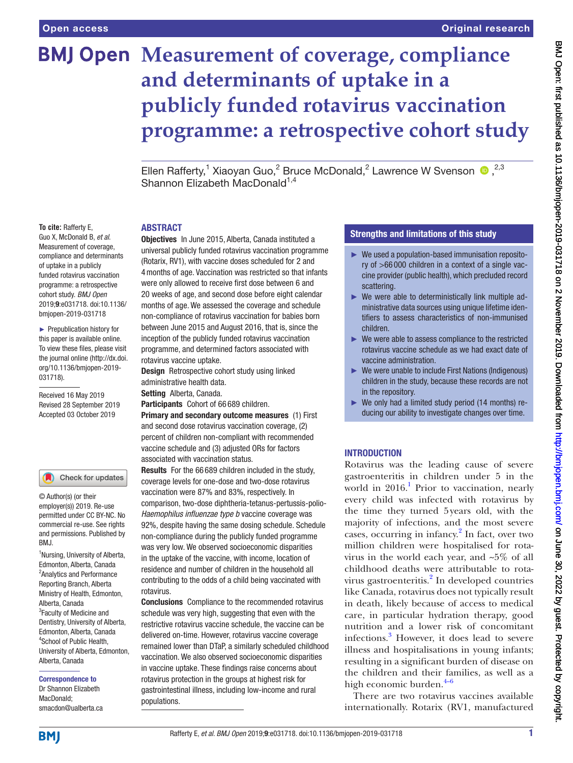# **BMJ Open Measurement of coverage, compliance and determinants of uptake in a publicly funded rotavirus vaccination programme: a retrospective cohort study**

Ellen Rafferty,<sup>1</sup> Xiaoyan Guo,<sup>2</sup> Bruce McDonald,<sup>2</sup> Lawrence W Svenson  $\bullet$ ,<sup>2,3</sup> Shannon Elizabeth MacDonald<sup>1,4</sup>

#### **ABSTRACT**

**To cite:** Rafferty E, Guo X, McDonald B, *et al*. Measurement of coverage, compliance and determinants of uptake in a publicly funded rotavirus vaccination programme: a retrospective cohort study. *BMJ Open* 2019;9:e031718. doi:10.1136/ bmjopen-2019-031718

► Prepublication history for this paper is available online. To view these files, please visit the journal online (http://dx.doi. org/10.1136/bmjopen-2019- 031718).

Received 16 May 2019 Revised 28 September 2019 Accepted 03 October 2019



#### Check for updates

© Author(s) (or their employer(s)) 2019. Re-use permitted under CC BY-NC. No commercial re-use. See rights and permissions. Published by RM<sub>J</sub>

<sup>1</sup>Nursing, University of Alberta, Edmonton, Alberta, Canada <sup>2</sup> Analytics and Performance Reporting Branch, Alberta Ministry of Health, Edmonton, Alberta, Canada <sup>3</sup> Faculty of Medicine and Dentistry, University of Alberta, Edmonton, Alberta, Canada 4 School of Public Health, University of Alberta, Edmonton, Alberta, Canada

#### Correspondence to

Dr Shannon Elizabeth MacDonald; smacdon@ualberta.ca Objectives In June 2015, Alberta, Canada instituted a universal publicly funded rotavirus vaccination programme (Rotarix, RV1), with vaccine doses scheduled for 2 and 4months of age. Vaccination was restricted so that infants were only allowed to receive first dose between 6 and 20 weeks of age, and second dose before eight calendar months of age. We assessed the coverage and schedule non-compliance of rotavirus vaccination for babies born between June 2015 and August 2016, that is, since the inception of the publicly funded rotavirus vaccination programme, and determined factors associated with rotavirus vaccine uptake.

Design Retrospective cohort study using linked administrative health data.

Setting Alberta, Canada.

Participants Cohort of 66 689 children.

Primary and secondary outcome measures (1) First and second dose rotavirus vaccination coverage, (2) percent of children non-compliant with recommended vaccine schedule and (3) adjusted ORs for factors associated with vaccination status.

Results For the 66 689 children included in the study, coverage levels for one-dose and two-dose rotavirus vaccination were 87% and 83%, respectively. In comparison, two-dose diphtheria-tetanus-pertussis-polio-*Haemophilus influenzae type b* vaccine coverage was 92%, despite having the same dosing schedule. Schedule non-compliance during the publicly funded programme was very low. We observed socioeconomic disparities in the uptake of the vaccine, with income, location of residence and number of children in the household all contributing to the odds of a child being vaccinated with rotavirus.

Conclusions Compliance to the recommended rotavirus schedule was very high, suggesting that even with the restrictive rotavirus vaccine schedule, the vaccine can be delivered on-time. However, rotavirus vaccine coverage remained lower than DTaP, a similarly scheduled childhood vaccination. We also observed socioeconomic disparities in vaccine uptake. These findings raise concerns about rotavirus protection in the groups at highest risk for gastrointestinal illness, including low-income and rural populations.

## Strengths and limitations of this study

- ► We used a population-based immunisation repository of >66 000 children in a context of a single vaccine provider (public health), which precluded record scattering.
- $\triangleright$  We were able to deterministically link multiple administrative data sources using unique lifetime identifiers to assess characteristics of non-immunised children.
- $\blacktriangleright$  We were able to assess compliance to the restricted rotavirus vaccine schedule as we had exact date of vaccine administration.
- ► We were unable to include First Nations (Indigenous) children in the study, because these records are not in the repository.
- ► We only had a limited study period (14 months) reducing our ability to investigate changes over time.

#### **INTRODUCTION**

Rotavirus was the leading cause of severe gastroenteritis in children under 5 in the world in 20[1](#page-8-0)6.<sup>1</sup> Prior to vaccination, nearly every child was infected with rotavirus by the time they turned 5years old, with the majority of infections, and the most severe cases, occurring in infancy.<sup>[2](#page-8-1)</sup> In fact, over two million children were hospitalised for rotavirus in the world each year, and ~5% of all childhood deaths were attributable to rota-virus gastroenteritis.<sup>[2](#page-8-1)</sup> In developed countries like Canada, rotavirus does not typically result in death, likely because of access to medical care, in particular hydration therapy, good nutrition and a lower risk of concomitant infections.[3](#page-8-2) However, it does lead to severe illness and hospitalisations in young infants; resulting in a significant burden of disease on the children and their families, as well as a high economic burden. $4-6$ 

There are two rotavirus vaccines available internationally. Rotarix (RV1, manufactured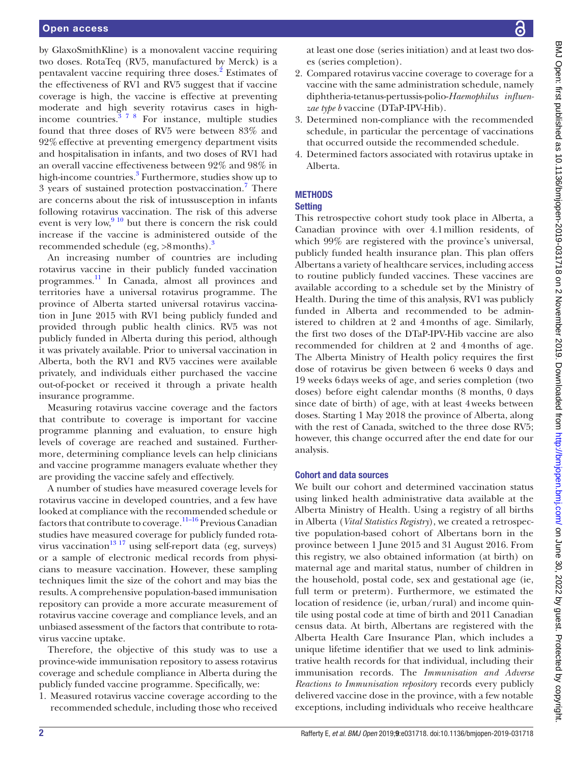by GlaxoSmithKline) is a monovalent vaccine requiring two doses. RotaTeq (RV5, manufactured by Merck) is a pentavalent vaccine requiring three doses.<sup>[2](#page-8-1)</sup> Estimates of the effectiveness of RV1 and RV5 suggest that if vaccine coverage is high, the vaccine is effective at preventing moderate and high severity rotavirus cases in highincome countries.  $378$  For instance, multiple studies found that three doses of RV5 were between 83% and 92%effective at preventing emergency department visits and hospitalisation in infants, and two doses of RV1 had an overall vaccine effectiveness between 92% and 98% in high-income countries.<sup>[3](#page-8-2)</sup> Furthermore, studies show up to 3 years of sustained protection postvaccination.<sup>[7](#page-8-4)</sup> There are concerns about the risk of intussusception in infants following rotavirus vaccination. The risk of this adverse event is very low, $\frac{910}{910}$  but there is concern the risk could increase if the vaccine is administered outside of the recommended schedule (eg,  $>8$  months).<sup>[3](#page-8-2)</sup>

An increasing number of countries are including rotavirus vaccine in their publicly funded vaccination programmes. [11](#page-8-6) In Canada, almost all provinces and territories have a universal rotavirus programme. The province of Alberta started universal rotavirus vaccination in June 2015 with RV1 being publicly funded and provided through public health clinics. RV5 was not publicly funded in Alberta during this period, although it was privately available. Prior to universal vaccination in Alberta, both the RV1 and RV5 vaccines were available privately, and individuals either purchased the vaccine out-of-pocket or received it through a private health insurance programme.

Measuring rotavirus vaccine coverage and the factors that contribute to coverage is important for vaccine programme planning and evaluation, to ensure high levels of coverage are reached and sustained. Furthermore, determining compliance levels can help clinicians and vaccine programme managers evaluate whether they are providing the vaccine safely and effectively.

A number of studies have measured coverage levels for rotavirus vaccine in developed countries, and a few have looked at compliance with the recommended schedule or factors that contribute to coverage.<sup>11–16</sup> Previous Canadian studies have measured coverage for publicly funded rotavirus vaccination<sup>13</sup> 17 using self-report data (eg, surveys) or a sample of electronic medical records from physicians to measure vaccination. However, these sampling techniques limit the size of the cohort and may bias the results. A comprehensive population-based immunisation repository can provide a more accurate measurement of rotavirus vaccine coverage and compliance levels, and an unbiased assessment of the factors that contribute to rotavirus vaccine uptake.

Therefore, the objective of this study was to use a province-wide immunisation repository to assess rotavirus coverage and schedule compliance in Alberta during the publicly funded vaccine programme. Specifically, we:

1. Measured rotavirus vaccine coverage according to the recommended schedule, including those who received

at least one dose (series initiation) and at least two doses (series completion).

- 2. Compared rotavirus vaccine coverage to coverage for a vaccine with the same administration schedule, namely diphtheria-tetanus-pertussis-polio-*Haemophilus influenzae type b* vaccine (DTaP-IPV-Hib).
- 3. Determined non-compliance with the recommended schedule, in particular the percentage of vaccinations that occurred outside the recommended schedule.
- 4. Determined factors associated with rotavirus uptake in Alberta.

# **METHODS**

## **Setting**

This retrospective cohort study took place in Alberta, a Canadian province with over 4.1million residents, of which 99% are registered with the province's universal, publicly funded health insurance plan. This plan offers Albertans a variety of healthcare services, including access to routine publicly funded vaccines. These vaccines are available according to a schedule set by the Ministry of Health. During the time of this analysis, RV1 was publicly funded in Alberta and recommended to be administered to children at 2 and 4months of age. Similarly, the first two doses of the DTaP-IPV-Hib vaccine are also recommended for children at 2 and 4months of age. The Alberta Ministry of Health policy requires the first dose of rotavirus be given between 6 weeks 0 days and 19 weeks 6days weeks of age, and series completion (two doses) before eight calendar months (8 months, 0 days since date of birth) of age, with at least 4weeks between doses. Starting 1 May 2018 the province of Alberta, along with the rest of Canada, switched to the three dose RV5; however, this change occurred after the end date for our analysis.

#### Cohort and data sources

We built our cohort and determined vaccination status using linked health administrative data available at the Alberta Ministry of Health. Using a registry of all births in Alberta (*Vital Statistics Registry*), we created a retrospective population-based cohort of Albertans born in the province between 1 June 2015 and 31 August 2016. From this registry, we also obtained information (at birth) on maternal age and marital status, number of children in the household, postal code, sex and gestational age (ie, full term or preterm). Furthermore, we estimated the location of residence (ie, urban/rural) and income quintile using postal code at time of birth and 2011 Canadian census data. At birth, Albertans are registered with the Alberta Health Care Insurance Plan, which includes a unique lifetime identifier that we used to link administrative health records for that individual, including their immunisation records. The *Immunisation and Adverse Reactions to Immunisation repository* records every publicly delivered vaccine dose in the province, with a few notable exceptions, including individuals who receive healthcare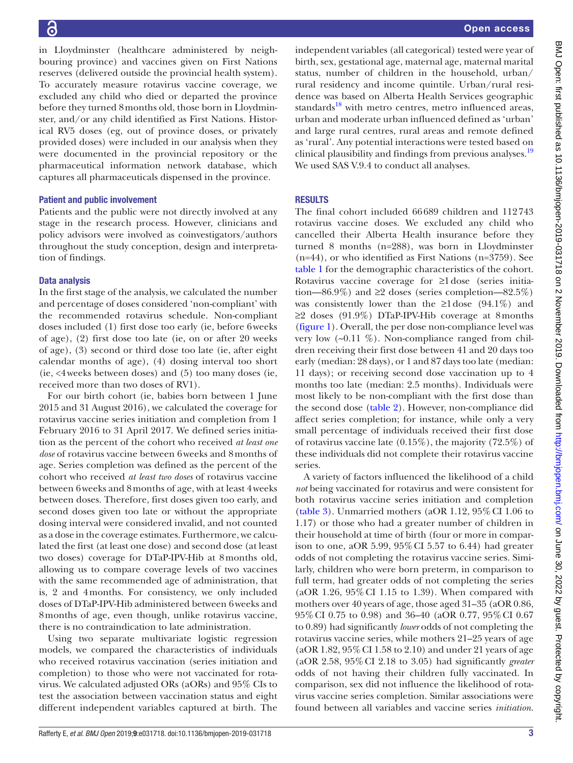in Lloydminster (healthcare administered by neighbouring province) and vaccines given on First Nations reserves (delivered outside the provincial health system). To accurately measure rotavirus vaccine coverage, we excluded any child who died or departed the province before they turned 8months old, those born in Lloydminster, and/or any child identified as First Nations. Historical RV5 doses (eg, out of province doses, or privately provided doses) were included in our analysis when they were documented in the provincial repository or the pharmaceutical information network database, which captures all pharmaceuticals dispensed in the province.

#### Patient and public involvement

Patients and the public were not directly involved at any stage in the research process. However, clinicians and policy advisors were involved as coinvestigators/authors throughout the study conception, design and interpretation of findings.

#### Data analysis

In the first stage of the analysis, we calculated the number and percentage of doses considered 'non-compliant' with the recommended rotavirus schedule. Non-compliant doses included (1) first dose too early (ie, before 6weeks of age), (2) first dose too late (ie, on or after 20 weeks of age), (3) second or third dose too late (ie, after eight calendar months of age), (4) dosing interval too short (ie, <4weeks between doses) and (5) too many doses (ie, received more than two doses of RV1).

For our birth cohort (ie, babies born between 1 June 2015 and 31 August 2016), we calculated the coverage for rotavirus vaccine series initiation and completion from 1 February 2016 to 31 April 2017. We defined series initiation as the percent of the cohort who received *at least one dose* of rotavirus vaccine between 6weeks and 8months of age. Series completion was defined as the percent of the cohort who received *at least two doses* of rotavirus vaccine between 6weeks and 8months of age, with at least 4weeks between doses. Therefore, first doses given too early, and second doses given too late or without the appropriate dosing interval were considered invalid, and not counted as a dose in the coverage estimates. Furthermore, we calculated the first (at least one dose) and second dose (at least two doses) coverage for DTaP-IPV-Hib at 8months old, allowing us to compare coverage levels of two vaccines with the same recommended age of administration, that is, 2 and 4months. For consistency, we only included doses of DTaP-IPV-Hib administered between 6weeks and 8months of age, even though, unlike rotavirus vaccine, there is no contraindication to late administration.

Using two separate multivariate logistic regression models, we compared the characteristics of individuals who received rotavirus vaccination (series initiation and completion) to those who were not vaccinated for rotavirus. We calculated adjusted ORs (aORs) and 95% CIs to test the association between vaccination status and eight different independent variables captured at birth. The

independent variables (all categorical) tested were year of birth, sex, gestational age, maternal age, maternal marital status, number of children in the household, urban/ rural residency and income quintile. Urban/rural residence was based on Alberta Health Services geographic standards $18$  with metro centres, metro influenced areas, urban and moderate urban influenced defined as 'urban' and large rural centres, rural areas and remote defined as 'rural'. Any potential interactions were tested based on clinical plausibility and findings from previous analyses.<sup>[19](#page-8-9)</sup> We used SAS V.9.4 to conduct all analyses.

#### **RESULTS**

The final cohort included 66689 children and 112743 rotavirus vaccine doses. We excluded any child who cancelled their Alberta Health insurance before they turned 8 months (n=288), was born in Lloydminster (n=44), or who identified as First Nations (n=3759). See [table](#page-3-0) 1 for the demographic characteristics of the cohort. Rotavirus vaccine coverage for ≥1dose (series initiation—86.9%) and  $\geq 2$  doses (series completion—82.5%) was consistently lower than the  $\geq 1$  dose (94.1%) and ≥2 doses (91.9%) DTaP-IPV-Hib coverage at 8months [\(figure](#page-4-0) 1). Overall, the per dose non-compliance level was very low  $(\sim 0.11 \%)$ . Non-compliance ranged from children receiving their first dose between 41 and 20 days too early (median: 28 days), or 1 and 87 days too late (median: 11 days); or receiving second dose vaccination up to 4 months too late (median: 2.5 months). Individuals were most likely to be non-compliant with the first dose than the second dose ([table](#page-4-1) 2). However, non-compliance did affect series completion; for instance, while only a very small percentage of individuals received their first dose of rotavirus vaccine late (0.15%), the majority (72.5%) of these individuals did not complete their rotavirus vaccine series.

A variety of factors influenced the likelihood of a child *not* being vaccinated for rotavirus and were consistent for both rotavirus vaccine series initiation and completion [\(table](#page-5-0) 3). Unmarried mothers (aOR 1.12,  $95\%$  CI 1.06 to 1.17) or those who had a greater number of children in their household at time of birth (four or more in comparison to one, aOR 5.99, 95%CI 5.57 to 6.44) had greater odds of not completing the rotavirus vaccine series. Similarly, children who were born preterm, in comparison to full term, had greater odds of not completing the series (aOR 1.26, 95%CI 1.15 to 1.39). When compared with mothers over 40 years of age, those aged 31–35 (aOR 0.86, 95%CI 0.75 to 0.98) and 36–40 (aOR 0.77, 95%CI 0.67 to 0.89) had significantly *lower* odds of not completing the rotavirus vaccine series, while mothers 21–25 years of age (aOR 1.82, 95%CI 1.58 to 2.10) and under 21 years of age (aOR 2.58, 95%CI 2.18 to 3.05) had significantly *greater* odds of not having their children fully vaccinated. In comparison, sex did not influence the likelihood of rotavirus vaccine series completion. Similar associations were found between all variables and vaccine series *initiation*.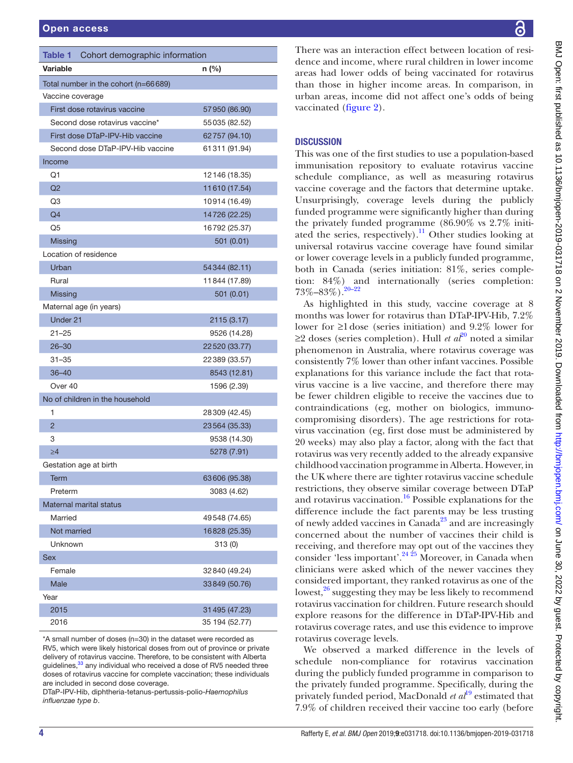<span id="page-3-0"></span>

| <b>Table 1</b>   | Cohort demographic information       |                |
|------------------|--------------------------------------|----------------|
| Variable         |                                      | $n$ (%)        |
|                  | Total number in the cohort (n=66689) |                |
| Vaccine coverage |                                      |                |
|                  | First dose rotavirus vaccine         | 57950 (86.90)  |
|                  | Second dose rotavirus vaccine*       | 55035 (82.52)  |
|                  | First dose DTaP-IPV-Hib vaccine      | 62757 (94.10)  |
|                  | Second dose DTaP-IPV-Hib vaccine     | 61311 (91.94)  |
| Income           |                                      |                |
| Q1               |                                      | 12146 (18.35)  |
| Q2               |                                      | 11610 (17.54)  |
| Q3               |                                      | 10914 (16.49)  |
| Q <sub>4</sub>   |                                      | 14726 (22.25)  |
| Q5               |                                      | 16792 (25.37)  |
| <b>Missing</b>   |                                      | 501(0.01)      |
|                  | Location of residence                |                |
| Urban            |                                      | 54344 (82.11)  |
| Rural            |                                      | 11844 (17.89)  |
| <b>Missing</b>   |                                      | 501(0.01)      |
|                  | Maternal age (in years)              |                |
| Under 21         |                                      | 2115 (3.17)    |
| $21 - 25$        |                                      | 9526 (14.28)   |
| $26 - 30$        |                                      | 22520 (33.77)  |
| $31 - 35$        |                                      | 22389 (33.57)  |
| $36 - 40$        |                                      | 8543 (12.81)   |
| Over 40          |                                      | 1596 (2.39)    |
|                  | No of children in the household      |                |
| 1                |                                      | 28309 (42.45)  |
| $\overline{2}$   |                                      | 23564 (35.33)  |
| 3                |                                      | 9538 (14.30)   |
| $\geq 4$         |                                      | 5278 (7.91)    |
|                  | Gestation age at birth               |                |
| Term             |                                      | 63606 (95.38)  |
| Preterm          |                                      | 3083 (4.62)    |
|                  | Maternal marital status              |                |
| Married          |                                      | 49548 (74.65)  |
| Not married      |                                      | 16828 (25.35)  |
| Unknown          |                                      | 313(0)         |
| <b>Sex</b>       |                                      |                |
| Female           |                                      | 32840 (49.24)  |
| Male             |                                      | 33849 (50.76)  |
| Year             |                                      |                |
| 2015             |                                      | 31 495 (47.23) |
| 2016             |                                      | 35 194 (52.77) |

\*A small number of doses (n=30) in the dataset were recorded as RV5, which were likely historical doses from out of province or private delivery of rotavirus vaccine. Therefore, to be consistent with Alberta guidelines,  $33$  any individual who received a dose of RV5 needed three doses of rotavirus vaccine for complete vaccination; these individuals are included in second dose coverage.

DTaP-IPV-Hib, diphtheria-tetanus-pertussis-polio-*Haemophilus influenzae type b*.

There was an interaction effect between location of residence and income, where rural children in lower income areas had lower odds of being vaccinated for rotavirus than those in higher income areas. In comparison, in urban areas, income did not affect one's odds of being vaccinated ([figure](#page-7-0) 2).

# **DISCUSSION**

This was one of the first studies to use a population-based immunisation repository to evaluate rotavirus vaccine schedule compliance, as well as measuring rotavirus vaccine coverage and the factors that determine uptake. Unsurprisingly, coverage levels during the publicly funded programme were significantly higher than during the privately funded programme (86.90% vs 2.7% initiated the series, respectively).<sup>11</sup> Other studies looking at universal rotavirus vaccine coverage have found similar or lower coverage levels in a publicly funded programme, both in Canada (series initiation: 81%, series completion: 84%) and internationally (series completion: 73%–83%).[20–22](#page-8-10)

As highlighted in this study, vaccine coverage at 8 months was lower for rotavirus than DTaP-IPV-Hib, 7.2% lower for ≥1 dose (series initiation) and 9.2% lower for ≥2 doses (series completion). Hull *et al*<sup>20</sup> noted a similar phenomenon in Australia, where rotavirus coverage was consistently 7% lower than other infant vaccines. Possible explanations for this variance include the fact that rotavirus vaccine is a live vaccine, and therefore there may be fewer children eligible to receive the vaccines due to contraindications (eg, mother on biologics, immunocompromising disorders). The age restrictions for rotavirus vaccination (eg, first dose must be administered by 20 weeks) may also play a factor, along with the fact that rotavirus was very recently added to the already expansive childhood vaccination programme in Alberta. However, in the UK where there are tighter rotavirus vaccine schedule restrictions, they observe similar coverage between DTaP and rotavirus vaccination.<sup>[16](#page-8-11)</sup> Possible explanations for the difference include the fact parents may be less trusting of newly added vaccines in  $\tilde{\text{Canada}}^{23}$  and are increasingly concerned about the number of vaccines their child is receiving, and therefore may opt out of the vaccines they consider 'less important'. $24\frac{24}{5}$  Moreover, in Canada when clinicians were asked which of the newer vaccines they considered important, they ranked rotavirus as one of the lowest, $26$  suggesting they may be less likely to recommend rotavirus vaccination for children. Future research should explore reasons for the difference in DTaP-IPV-Hib and rotavirus coverage rates, and use this evidence to improve rotavirus coverage levels.

We observed a marked difference in the levels of schedule non-compliance for rotavirus vaccination during the publicly funded programme in comparison to the privately funded programme. Specifically, during the privately funded period, MacDonald *et al*[19](#page-8-9) estimated that 7.9% of children received their vaccine too early (before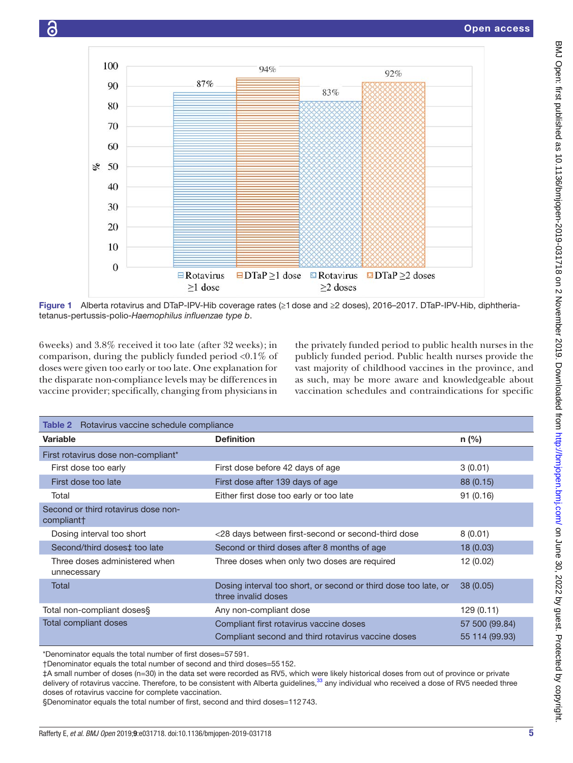



<span id="page-4-0"></span>Figure 1 Alberta rotavirus and DTaP-IPV-Hib coverage rates (≥1dose and ≥2 doses), 2016–2017. DTaP-IPV-Hib, diphtheriatetanus-pertussis-polio-*Haemophilus influenzae type b*.

6weeks) and 3.8% received it too late (after 32 weeks); in comparison, during the publicly funded period <0.1% of doses were given too early or too late. One explanation for the disparate non-compliance levels may be differences in vaccine provider; specifically, changing from physicians in the privately funded period to public health nurses in the publicly funded period. Public health nurses provide the vast majority of childhood vaccines in the province, and as such, may be more aware and knowledgeable about vaccination schedules and contraindications for specific

<span id="page-4-1"></span>

| <b>Table 2</b> Rotavirus vaccine schedule compliance |                                                                                               |                                  |
|------------------------------------------------------|-----------------------------------------------------------------------------------------------|----------------------------------|
| <b>Variable</b>                                      | <b>Definition</b>                                                                             | $n$ (%)                          |
| First rotavirus dose non-compliant*                  |                                                                                               |                                  |
| First dose too early                                 | First dose before 42 days of age                                                              | 3(0.01)                          |
| First dose too late                                  | First dose after 139 days of age                                                              | 88 (0.15)                        |
| Total                                                | Either first dose too early or too late                                                       | 91(0.16)                         |
| Second or third rotavirus dose non-<br>compliant†    |                                                                                               |                                  |
| Dosing interval too short                            | <28 days between first-second or second-third dose                                            | 8(0.01)                          |
| Second/third doses‡ too late                         | Second or third doses after 8 months of age                                                   | 18(0.03)                         |
| Three doses administered when<br>unnecessary         | Three doses when only two doses are required                                                  | 12(0.02)                         |
| Total                                                | Dosing interval too short, or second or third dose too late, or<br>three invalid doses        | 38(0.05)                         |
| Total non-compliant doses§                           | Any non-compliant dose                                                                        | 129(0.11)                        |
| <b>Total compliant doses</b>                         | Compliant first rotavirus vaccine doses<br>Compliant second and third rotavirus vaccine doses | 57 500 (99.84)<br>55 114 (99.93) |

\*Denominator equals the total number of first doses=57591.

†Denominator equals the total number of second and third doses=55152.

‡A small number of doses (n=30) in the data set were recorded as RV5, which were likely historical doses from out of province or private delivery of rotavirus vaccine. Therefore, to be consistent with Alberta guidelines,<sup>[33](#page-9-0)</sup> any individual who received a dose of RV5 needed three doses of rotavirus vaccine for complete vaccination.

§Denominator equals the total number of first, second and third doses=112743.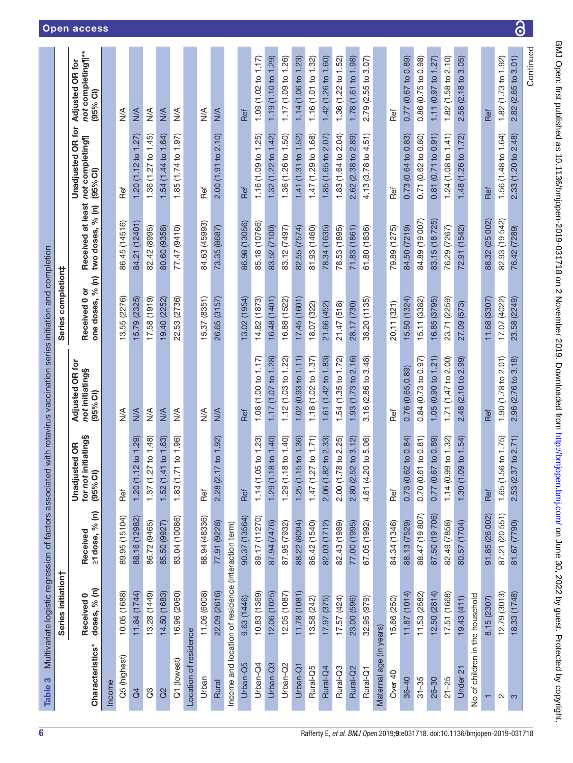| Table 3                         |                                                     |                                                                  | Multivariate logistic regression of factors associated with rotavirus vaccination series initiation and completion |                                                       |                                     |                                       |                                                          |                                                    |
|---------------------------------|-----------------------------------------------------|------------------------------------------------------------------|--------------------------------------------------------------------------------------------------------------------|-------------------------------------------------------|-------------------------------------|---------------------------------------|----------------------------------------------------------|----------------------------------------------------|
|                                 | Series initiation                                   |                                                                  |                                                                                                                    |                                                       | Series completion#                  |                                       |                                                          |                                                    |
| Characteristics*                | Received 0<br>doses, % (n)                          | $\widehat{\epsilon}$<br>$\sqrt{6}$<br>Received<br>$\geq$ 1 dose, | <b>initiating</b> §<br><b>Unadjusted OR</b><br>(95% Cl)<br>for not                                                 | <b>Adjusted OR for</b><br>not initiating§<br>(95% Cl) | one doses, % (n)<br>ŏ<br>Received 0 | Received at least<br>two doses, % (n) | <b>Unadjusted OR for</b><br>not completing<br>$(95%$ CI) | not completing¶**<br>Adjusted OR for<br>$(95%$ CI) |
| Income                          |                                                     |                                                                  |                                                                                                                    |                                                       |                                     |                                       |                                                          |                                                    |
| Q5 (highest)                    | 10.05 (1688)                                        | 89.95 (15104)                                                    | Ref                                                                                                                | $\frac{1}{2}$                                         | 13.55 (2276)                        | 86.45 (14516)                         | Ref                                                      | $\frac{4}{\sqrt{2}}$                               |
| $\overline{d}$                  | 11.84 (1744)                                        | 88.16 (12982)                                                    | 12 to 1.29<br>1.20(1.                                                                                              | N/A                                                   | 15.79 (2325)                        | (12401)<br>84.21                      | .27)<br>1.20(1.12 to                                     | N/A                                                |
| $\mathcal{C}^3$                 | 13.28 (1449)                                        | 86.72 (9465)                                                     | 1.37 (1.27 to 1.48)                                                                                                | $\frac{1}{2}$                                         | 17.58 (1919)                        | 82.42 (8995)                          | 1.36 (1.27 to 1.45)                                      | $\frac{1}{2}$                                      |
| $\alpha$                        | 14.50 (1683)                                        | 85.50 (9927)                                                     | 1.52 (1.41 to 1.63)                                                                                                | N/A                                                   | 19.40 (2252)                        | 80.60 (9358)                          | 1.54(1.44 to 1.64)                                       | N/A                                                |
| Q1 (lowest)                     | 16.96 (2060)                                        | 83.04 (10086)                                                    | 1.83 (1.71 to 1.96)                                                                                                | $\frac{1}{2}$                                         | 22.53 (2736)                        | 77.47 (9410)                          | 1.85 (1.74 to 1.97)                                      | $\frac{1}{2}$                                      |
| Location of residence           |                                                     |                                                                  |                                                                                                                    |                                                       |                                     |                                       |                                                          |                                                    |
| Urban                           | 11.06 (6008)                                        | 88.94 (48336)                                                    | Ref                                                                                                                | $\frac{4}{2}$                                         | 15.37 (8351)                        | 84.63 (45993)                         | Ref                                                      | $\frac{4}{2}$                                      |
| Rural                           | 22.09 (2616)                                        | 77.91 (9228)                                                     | 17 to 1.92)<br>2.28(2)                                                                                             | $M \times$                                            | 26.65 (3157)                        | 73.35 (8687)                          | 2.00 (1.91 to 2.10)                                      | N/A                                                |
|                                 | Income and location of residence (interaction term) |                                                                  |                                                                                                                    |                                                       |                                     |                                       |                                                          |                                                    |
| Urban-Q5                        | 9.63 (1446)                                         | 90.37 (13564)                                                    | Ref                                                                                                                | Ref                                                   | 13.02 (1954)                        | 86.98 (13056)                         | Ref                                                      | Ref                                                |
| Urban-Q4                        | 10.83 (1369)                                        | 89.17 (11270)                                                    | 1.14(1.05 to 1.23)                                                                                                 | 1.08 (1.00 to 1.17)                                   | 14.82 (1873)                        | 85.18 (10766)                         | 1.16 (1.09 to 1.25)                                      | 1.09 (1.02 to 1.17)                                |
| Urban-Q3                        | 12.06 (1025)                                        | 87.94 (7476)                                                     | 1.29(1.18 to 1.40)                                                                                                 | 1.17 (1.07 to 1.28)                                   | 16.48 (1401)                        | 83.52 (7100)                          | 1.32 (1.22 to 1.42)                                      | 1.19(1.10 to 1.29)                                 |
| Urban-Q2                        | 12.05 (1087)                                        | 87.95 (7932)                                                     | 1.29 (1.18 to 1.40)                                                                                                | 1.12 $(1.03 \text{ to } 1.22)$                        | 16.88 (1522)                        | 83.12 (7497)                          | 1.36 (1.26 to 1.50)                                      | 1.17 (1.09 to 1.26)                                |
| Urban-Q1                        | 11.78 (1081)                                        | 88.22 (8094)                                                     | 1.25(1.15 to 1.36)                                                                                                 | 1.02(0.93 to 1.11)                                    | 17.45 (1601)                        | 82.55 (7574)                          | 1.41(1.31 to 1.52)                                       | 1.14 (1.06 to 1.23)                                |
| Rural-Q5                        | 13.58 (242)                                         | 86.42 (1540)                                                     | 1.47 (1.27 to 1.71)                                                                                                | 1.18(1.02 to 1.37)                                    | 18.07 (322)                         | 81.93 (1460)                          | 1.47(1.29 to 1.68)                                       | 1.16 (1.01 to 1.32)                                |
| Rural-Q4                        | 17.97 (375)                                         | 82.03 (1712)                                                     | 2.06 (1.82 to 2.33)                                                                                                | 1.61 (1.42 to 1.83)                                   | 21.66 (452)                         | 78.34 (1635)                          | 1.85(1.65 to 2.07)                                       | 1.42 (1.26 to 1.60)                                |
| Rural-Q <sub>3</sub>            | 17.57 (424)                                         | 82.43 (1989)                                                     | 2.00 (1.78 to 2.25)                                                                                                | 1.54 (1.35 to 1.72)                                   | 21.47 (518)                         | 78.53 (1895)                          | 1.83 (1.64 to 2.04)                                      | 1.36 (1.22 to 1.52)                                |
| Rural-Q2                        | 23.00 (596)                                         | 77.00 (1995)                                                     | 52 to 3.12)<br>2.80 (2.                                                                                            | 1.93(1.73 to 2.16)                                    | 28.17 (730)                         | 71.83 (1861)                          | 2.62 (2.38 to 2.89)                                      | 1.78 (1.61 to 1.98)                                |
| Rural-Q1                        | 32.95 (979)                                         | 67.05 (1992)                                                     | 4.61 (4.20 to 5.06)                                                                                                | 3.16 (2.86 to 3.48)                                   | 38.20 (1135)                        | 61.80 (1836)                          | 4.13 (3.78 to 4.51)                                      | 2.79 (2.55 to 3.07)                                |
| Maternal age (in years)         |                                                     |                                                                  |                                                                                                                    |                                                       |                                     |                                       |                                                          |                                                    |
| Over <sub>40</sub>              | 15.66 (250)                                         | 84.34 (1346)                                                     | Ref                                                                                                                | Ref                                                   | 20.11 (321)                         | 79.89 (1275)                          | Ref                                                      | Ref                                                |
| $36 - 40$                       | 11.87(1014)                                         | 88.13 (7529)                                                     | 0.73(0.62 to 0.84)                                                                                                 | 0.76 (0.65,0.89)                                      | 15.50 (1324)                        | 84.50 (7219)                          | 0.73 (0.64 to 0.83)                                      | $0.77(0.67$ to $0.89$                              |
| $31 - 35$                       | 11.53 (2582)                                        | 88.47 (19 807)                                                   | 0.70 (0.61 to 0.81)                                                                                                | 0.84(0.73 to 0.97)                                    | 15.11 (3382)                        | 84.89 (19 007)                        | 0.71 (0.62 to 0.80)                                      | 0.86 (0.75 to 0.98)                                |
| 26-30                           | 12.50 (2814)                                        | 87.50 (19 706)                                                   | 0.77 (0.67 to 0.89)                                                                                                | 1.05(0.90 to 1.21)                                    | 16.85 (3795)                        | 83.15 (18 725)                        | 0.81 (0.71 to 0.91)                                      | 1.11 (0.97 to 1.27)                                |
| $21 - 25$                       | 17.51 (1668)                                        | 82.49 (7858)                                                     | 1.14 (0.99 to 1.32)                                                                                                | 1.71 (1.47 to 2.00)                                   | 23.71 (2259)                        | 76.29 (7267)                          | 1.24(1.08 to 1.41)                                       | 1.82 (1.58 to 2.10)                                |
| Under 21                        | 19.43 (411)                                         | 80.57 (1704)                                                     | 1.54<br>1.30(1.09 to                                                                                               | 2.99)<br>2.48 (2.10 to                                | 27.09 (573)                         | 72.91 (1542)                          | 1.48(1.26 to 1.72)                                       | 3.05<br>2.58(2.18)                                 |
| No of children in the household |                                                     |                                                                  |                                                                                                                    |                                                       |                                     |                                       |                                                          |                                                    |
|                                 | 8.15 (2307)                                         | 91.85 (26 002)                                                   | Ref                                                                                                                | Ref                                                   | 11.68 (3307)                        | 88.32 (25 002)                        | Ref                                                      | Ref                                                |
| $\mathbf{\Omega}$               | 12.79 (3013)                                        | 87.21 (20 551)                                                   | 1.65 (1.56 to 1.75)                                                                                                | 1.90(1.78 to 2.01)                                    | 17.07 (4022)                        | 82.93 (19 542)                        | 1.56 (1.48 to 1.64)                                      | 1.82 (1.73 to 1.92)                                |
| က                               | 18.33 (1748)                                        | (7790)<br>81.67                                                  | 71)<br>$\sim$<br>37 <sub>to</sub><br>$\ddot{\mathcal{S}}$<br>2.53                                                  | 3.18<br>(2.76 to<br>2.96                              | (2249)<br>23.58                     | (7289)<br>76.42                       | 2.48)<br>.20 to<br>Ξ,<br>2.33                            | $(2.65$ to $3.01)$<br>2.82                         |
|                                 |                                                     |                                                                  |                                                                                                                    |                                                       |                                     |                                       |                                                          | Continued                                          |

 $\overline{\partial}$ 

<span id="page-5-0"></span>6 Rafferty E, *et al*. *BMJ Open* 2019; 9:e031718. doi:10.1136/bmjopen-2019-031718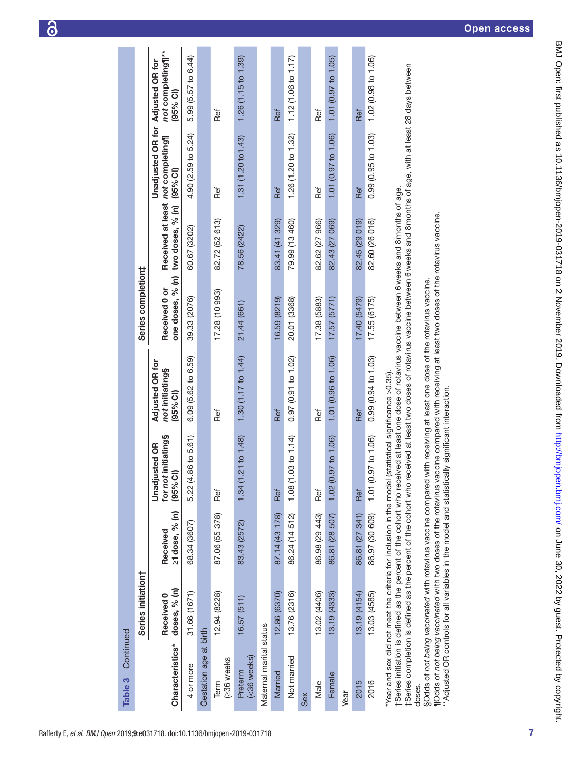| Continued<br>Table 3    |                            |                            |                                                                                                                                                                                                                                                                                                                                                                                                                                                   |                                                       |                                   |                           |                                                              |                                                         |
|-------------------------|----------------------------|----------------------------|---------------------------------------------------------------------------------------------------------------------------------------------------------------------------------------------------------------------------------------------------------------------------------------------------------------------------------------------------------------------------------------------------------------------------------------------------|-------------------------------------------------------|-----------------------------------|---------------------------|--------------------------------------------------------------|---------------------------------------------------------|
|                         |                            |                            |                                                                                                                                                                                                                                                                                                                                                                                                                                                   |                                                       |                                   |                           |                                                              |                                                         |
|                         | Series initiation†         |                            |                                                                                                                                                                                                                                                                                                                                                                                                                                                   |                                                       | Series completion‡                |                           |                                                              |                                                         |
| Characteristics*        | doses, % (n)<br>Received 0 | ≥1 dose, % (n)<br>Received | for not initiating§<br><b>Unadjusted OR</b><br>(95% <sub>°</sub> )                                                                                                                                                                                                                                                                                                                                                                                | <b>Adjusted OR for</b><br>not initiating§<br>(95% CI) | one doses, % (n)<br>Received 0 or | two doses, % (n) (95% CI) | <b>Unadjusted OR for</b><br>Received at least not completing | not completing¶**<br><b>Adjusted OR for</b><br>(95% CI) |
| 4 or more               | 31.66 (1671)               | 68.34 (3607)               | 86 to 5.61)<br>5.22 (4.                                                                                                                                                                                                                                                                                                                                                                                                                           | 6.09 (5.62 to 6.59)                                   | 39.33 (2076)                      | 60.67 (3202)              | 4.90 (2.59 to 5.24)                                          | 5.99 (5.57 to 6.44)                                     |
| Gestation age at birth  |                            |                            |                                                                                                                                                                                                                                                                                                                                                                                                                                                   |                                                       |                                   |                           |                                                              |                                                         |
| (≥36 weeks<br>Term      | 12.94 (8228)               | 87.06 (55 378)             | Ref                                                                                                                                                                                                                                                                                                                                                                                                                                               | Ref                                                   | 17.28 (10 993)                    | 82.72 (52 613)            | Ref                                                          | Ref                                                     |
| (<36 weeks)<br>Preterm  | 16.57(511)                 | 83.43 (2572)               | 1.34 (1.21 to 1.48)                                                                                                                                                                                                                                                                                                                                                                                                                               | 1.30 (1.17 to 1.44)                                   | 21.44 (661)                       | 78.56 (2422)              | 1.31(1.20 to 1.43)                                           | 1.26(1.15 to 1.39)                                      |
| Maternal marital status |                            |                            |                                                                                                                                                                                                                                                                                                                                                                                                                                                   |                                                       |                                   |                           |                                                              |                                                         |
| Married                 | 12.86 (6370)               | 87.14 (43 178)             | Ref                                                                                                                                                                                                                                                                                                                                                                                                                                               | Ref                                                   | 16.59 (8219)                      | 83.41 (41 329)            | Ref                                                          | Ref                                                     |
| Not married             | 13.76 (2316)               | 86.24 (14 512)             | 1.08 (1.03 to 1.14)                                                                                                                                                                                                                                                                                                                                                                                                                               | 0.97(0.91 to 1.02)                                    | 20.01 (3368)                      | 79.99 (13 460)            | 1.26 (1.20 to 1.32)                                          | 1.12 $(1.06 \text{ to } 1.17)$                          |
| Sex                     |                            |                            |                                                                                                                                                                                                                                                                                                                                                                                                                                                   |                                                       |                                   |                           |                                                              |                                                         |
| Male                    | 13.02 (4406)               | 86.98 (29 443)             | Ref                                                                                                                                                                                                                                                                                                                                                                                                                                               | Ref                                                   | 17.38 (5883)                      | 82.62 (27 966)            | Ref                                                          | Ref                                                     |
| Female                  | 13.19 (4333)               | 86.81 (28 507)             | 1.02 (0.97 to 1.06)                                                                                                                                                                                                                                                                                                                                                                                                                               | 1.01 (0.96 to 1.06)                                   | 17.57(5771)                       | 82.43 (27 069)            | 1.01 (0.97 to 1.06)                                          | 1.01(0.97 to 1.05)                                      |
| Year                    |                            |                            |                                                                                                                                                                                                                                                                                                                                                                                                                                                   |                                                       |                                   |                           |                                                              |                                                         |
| 2015                    | 13.19 (4154)               | 86.81 (27 341)             | Ref                                                                                                                                                                                                                                                                                                                                                                                                                                               | Ref                                                   | 17.40 (5479)                      | 82.45 (29 019)            | Ref                                                          | Ref                                                     |
| 2016                    | 13.03 (4585)               | 86.97 (30 609)             | 1.01 (0.97 to 1.06)                                                                                                                                                                                                                                                                                                                                                                                                                               | 0.99(0.94 to 1.03)                                    | 17.55 (6175)                      | 82.60 (26 016)            | $0.99$ (0.95 to 1.03)                                        | 1.02 (0.98 to 1.06)                                     |
|                         |                            |                            | ‡Series completion is defined as the percent of the cohort who received at least two doses of rotavirus vaccine between 6 weeks and 8 months of age, with at least 28 days between<br>tSeries initiation is defined as the percent of the cohort who received at least one dose of rotavirus vaccine between 6 weeks and 8 months of age.<br>*Year and sex did not meet the criteria for inclusion in the model (statistical significance >0.35). |                                                       |                                   |                           |                                                              |                                                         |
| doses.                  |                            |                            | Modds of not being vaccinated with two doses of the rotavirus vaccine compared with receiving at least two doses of the rotavirus vaccine.<br>§Odds of not being vaccinated with rotavirus vaccine compared with receiving at least one dose of the rotavirus vaccine.                                                                                                                                                                            |                                                       |                                   |                           |                                                              |                                                         |
|                         |                            |                            | "Adjusted OR controls for all variables in the model and statistically significant interaction.                                                                                                                                                                                                                                                                                                                                                   |                                                       |                                   |                           |                                                              |                                                         |

6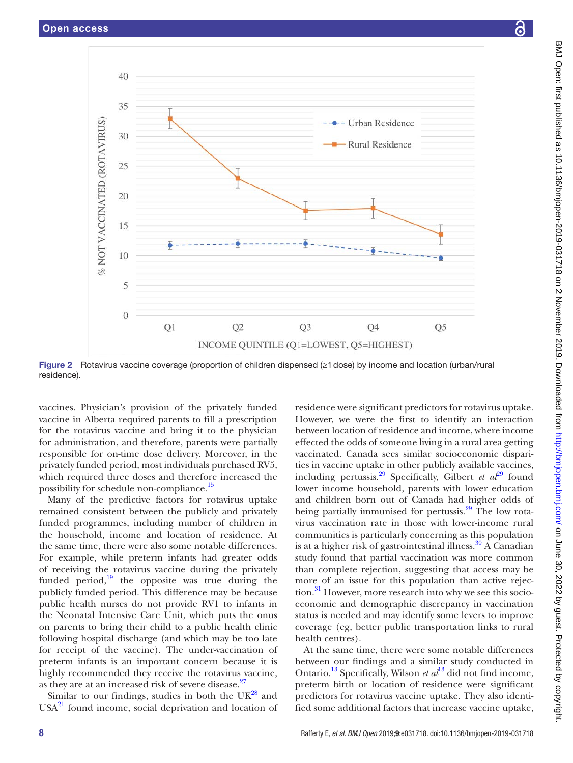

<span id="page-7-0"></span>Figure 2 Rotavirus vaccine coverage (proportion of children dispensed (≥1dose) by income and location (urban/rural residence).

vaccines. Physician's provision of the privately funded vaccine in Alberta required parents to fill a prescription for the rotavirus vaccine and bring it to the physician for administration, and therefore, parents were partially responsible for on-time dose delivery. Moreover, in the privately funded period, most individuals purchased RV5, which required three doses and therefore increased the possibility for schedule non-compliance.<sup>[15](#page-8-12)</sup>

Many of the predictive factors for rotavirus uptake remained consistent between the publicly and privately funded programmes, including number of children in the household, income and location of residence. At the same time, there were also some notable differences. For example, while preterm infants had greater odds of receiving the rotavirus vaccine during the privately funded period, $\frac{19}{19}$  the opposite was true during the publicly funded period. This difference may be because public health nurses do not provide RV1 to infants in the Neonatal Intensive Care Unit, which puts the onus on parents to bring their child to a public health clinic following hospital discharge (and which may be too late for receipt of the vaccine). The under-vaccination of preterm infants is an important concern because it is highly recommended they receive the rotavirus vaccine, as they are at an increased risk of severe disease.<sup>27</sup>

Similar to our findings, studies in both the  $UK^{28}$  and  $USA<sup>21</sup>$  found income, social deprivation and location of residence were significant predictors for rotavirus uptake. However, we were the first to identify an interaction between location of residence and income, where income effected the odds of someone living in a rural area getting vaccinated. Canada sees similar socioeconomic disparities in vaccine uptake in other publicly available vaccines, including pertussis.<sup>[29](#page-9-6)</sup> Specifically, Gilbert *et al*<sup>29</sup> found lower income household, parents with lower education and children born out of Canada had higher odds of being partially immunised for pertussis. $29$  The low rotavirus vaccination rate in those with lower-income rural communities is particularly concerning as this population is at a higher risk of gastrointestinal illness.<sup>30</sup> A Canadian study found that partial vaccination was more common than complete rejection, suggesting that access may be more of an issue for this population than active rejection.<sup>31</sup> However, more research into why we see this socioeconomic and demographic discrepancy in vaccination status is needed and may identify some levers to improve coverage (eg, better public transportation links to rural health centres).

At the same time, there were some notable differences between our findings and a similar study conducted in Ontario[.13](#page-8-7) Specifically, Wilson *et al*[13](#page-8-7) did not find income, preterm birth or location of residence were significant predictors for rotavirus vaccine uptake. They also identified some additional factors that increase vaccine uptake,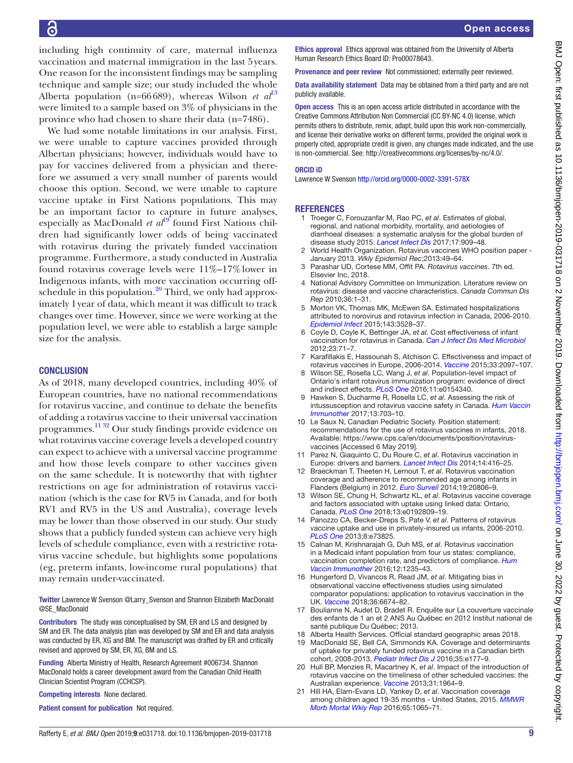including high continuity of care, maternal influenza vaccination and maternal immigration in the last 5years. One reason for the inconsistent findings may be sampling technique and sample size; our study included the whole Alberta population (n=66689), whereas Wilson *et al*<sup>[13](#page-8-7)</sup> were limited to a sample based on 3% of physicians in the province who had chosen to share their data (n=7486).

We had some notable limitations in our analysis. First, we were unable to capture vaccines provided through Albertan physicians; however, individuals would have to pay for vaccines delivered from a physician and therefore we assumed a very small number of parents would choose this option. Second, we were unable to capture vaccine uptake in First Nations populations. This may be an important factor to capture in future analyses, especially as MacDonald *et al*<sup>[19](#page-8-9)</sup> found First Nations children had significantly lower odds of being vaccinated with rotavirus during the privately funded vaccination programme. Furthermore, a study conducted in Australia found rotavirus coverage levels were 11%–17%lower in Indigenous infants, with more vaccination occurring offschedule in this population.<sup>20</sup> Third, we only had approximately 1year of data, which meant it was difficult to track changes over time. However, since we were working at the population level, we were able to establish a large sample size for the analysis.

#### **CONCLUSION**

As of 2018, many developed countries, including 40% of European countries, have no national recommendations for rotavirus vaccine, and continue to debate the benefits of adding a rotavirus vaccine to their universal vaccination programmes[.11 32](#page-8-6) Our study findings provide evidence on what rotavirus vaccine coverage levels a developed country can expect to achieve with a universal vaccine programme and how those levels compare to other vaccines given on the same schedule. It is noteworthy that with tighter restrictions on age for administration of rotavirus vaccination (which is the case for RV5 in Canada, and for both RV1 and RV5 in the US and Australia), coverage levels may be lower than those observed in our study. Our study shows that a publicly funded system can achieve very high levels of schedule compliance, even with a restrictive rotavirus vaccine schedule, but highlights some populations (eg, preterm infants, low-income rural populations) that may remain under-vaccinated.

Twitter Lawrence W Svenson [@Larry\\_Svenson](https://twitter.com/Larry_Svenson) and Shannon Elizabeth MacDonald [@SE\\_MacDonald](https://twitter.com/SE_MacDonald)

Contributors The study was conceptualised by SM, ER and LS and designed by SM and ER. The data analysis plan was developed by SM and ER and data analysis was conducted by ER, XG and BM. The manuscript was drafted by ER and critically revised and approved by SM, ER, XG, BM and LS.

Funding Alberta Ministry of Health, Research Agreement #006734. Shannon MacDonald holds a career development award from the Canadian Child Health Clinician Scientist Program (CCHCSP).

Competing interests None declared.

Patient consent for publication Not required.

Ethics approval Ethics approval was obtained from the University of Alberta Human Research Ethics Board ID: Pro00078643.

Provenance and peer review Not commissioned; externally peer reviewed.

Data availability statement Data may be obtained from a third party and are not publicly available.

Open access This is an open access article distributed in accordance with the Creative Commons Attribution Non Commercial (CC BY-NC 4.0) license, which permits others to distribute, remix, adapt, build upon this work non-commercially, and license their derivative works on different terms, provided the original work is properly cited, appropriate credit is given, any changes made indicated, and the use is non-commercial. See: [http://creativecommons.org/licenses/by-nc/4.0/.](http://creativecommons.org/licenses/by-nc/4.0/)

#### ORCID iD

Lawrence W Svenson<http://orcid.org/0000-0002-3391-578X>

#### <span id="page-8-0"></span>**REFERENCES**

- 1 Troeger C, Forouzanfar M, Rao PC, *et al*. Estimates of global, regional, and national morbidity, mortality, and aetiologies of diarrhoeal diseases: a systematic analysis for the global burden of disease study 2015. *[Lancet Infect Dis](http://dx.doi.org/10.1016/S1473-3099(17)30276-1)* 2017;17:909–48.
- <span id="page-8-1"></span>2 World Health Organization. Rotavirus vaccines WHO position paper - January 2013. *Wkly Epidemiol Rec*;2013:49–64.
- <span id="page-8-2"></span>3 Parashar UD, Cortese MM, Offit PA. *Rotavirus vaccines*. 7th ed. Elsevier Inc, 2018.
- <span id="page-8-3"></span>4 National Advisory Committee on Immunization. Literature review on rotavirus: disease and vaccine characteristics. *Canada Commun Dis Rep* 2010;36:1–31.
- 5 Morton VK, Thomas MK, McEwen SA. Estimated hospitalizations attributed to norovirus and rotavirus infection in Canada, 2006-2010. *[Epidemiol Infect](http://dx.doi.org/10.1017/S0950268815000734)* 2015;143:3528–37.
- 6 Coyle D, Coyle K, Bettinger JA, *et al*. Cost effectiveness of infant vaccination for rotavirus in Canada. *[Can J Infect Dis Med Microbiol](http://dx.doi.org/10.1155/2012/327054)* 2012;23:71–7.
- <span id="page-8-4"></span>7 Karafillakis E, Hassounah S, Atchison C. Effectiveness and impact of rotavirus vaccines in Europe, 2006-2014. *[Vaccine](http://dx.doi.org/10.1016/j.vaccine.2015.03.016)* 2015;33:2097–107.
- 8 Wilson SE, Rosella LC, Wang J, *et al*. Population-level impact of Ontario's infant rotavirus immunization program: evidence of direct and indirect effects. *[PLoS One](http://dx.doi.org/10.1371/journal.pone.0154340)* 2016;11:e0154340.
- <span id="page-8-5"></span>9 Hawken S, Ducharme R, Rosella LC, *et al*. Assessing the risk of intussusception and rotavirus vaccine safety in Canada. *[Hum Vaccin](http://dx.doi.org/10.1080/21645515.2016.1240846)  [Immunother](http://dx.doi.org/10.1080/21645515.2016.1240846)* 2017;13:703–10.
- 10 Le Saux N, Canadian Pediatric Society. Position statement: recommendations for the use of rotavirus vaccines in infants, 2018. Available: [https://www.cps.ca/en/documents/position/rotavirus](https://www.cps.ca/en/documents/position/rotavirus-vaccines)[vaccines](https://www.cps.ca/en/documents/position/rotavirus-vaccines) [Accessed 6 May 2019].
- <span id="page-8-6"></span>11 Parez N, Giaquinto C, Du Roure C, *et al*. Rotavirus vaccination in Europe: drivers and barriers. *[Lancet Infect Dis](http://dx.doi.org/10.1016/S1473-3099(14)70035-0)* 2014;14:416–25.
- 12 Braeckman T, Theeten H, Lernout T, *et al*. Rotavirus vaccination coverage and adherence to recommended age among infants in Flanders (Belgium) in 2012. *[Euro Surveil](http://dx.doi.org/10.2807/1560-7917.ES2014.19.20.20806)* 2014;19:20806–9.
- <span id="page-8-7"></span>13 Wilson SE, Chung H, Schwartz KL, *et al*. Rotavirus vaccine coverage and factors associated with uptake using linked data: Ontario, Canada. *[PLoS One](http://dx.doi.org/10.1371/journal.pone.0192809)* 2018;13:e0192809–19.
- 14 Panozzo CA, Becker-Dreps S, Pate V, *et al*. Patterns of rotavirus vaccine uptake and use in privately-insured us infants, 2006-2010. *[PLoS One](http://dx.doi.org/10.1371/journal.pone.0073825)* 2013;8:e73825.
- <span id="page-8-12"></span>15 Calnan M, Krishnarajah G, Duh MS, *et al*. Rotavirus vaccination in a Medicaid infant population from four us states: compliance, vaccination completion rate, and predictors of compliance. *[Hum](http://dx.doi.org/10.1080/21645515.2015.1136041)  [Vaccin Immunother](http://dx.doi.org/10.1080/21645515.2015.1136041)* 2016;12:1235–43.
- <span id="page-8-11"></span>16 Hungerford D, Vivancos R, Read JM, *et al*. Mitigating bias in observational vaccine effectiveness studies using simulated comparator populations: application to rotavirus vaccination in the UK. *[Vaccine](http://dx.doi.org/10.1016/j.vaccine.2018.09.051)* 2018;36:6674–82.
- 17 Boulianne N, Audet D, Bradet R. Enquête sur La couverture vaccinale des enfants de 1 an et 2 ANS Au Québec en 2012 Institut national de santé publique Du Québec: 2013.
- <span id="page-8-8"></span>18 Alberta Health Services. Official standard geographic areas 2018.
- <span id="page-8-9"></span>19 MacDonald SE, Bell CA, Simmonds KA. Coverage and determinants of uptake for privately funded rotavirus vaccine in a Canadian birth cohort, 2008-2013. *[Pediatr Infect Dis J](http://dx.doi.org/10.1097/INF.0000000000001125)* 2016;35:e177–9.
- <span id="page-8-10"></span>20 Hull BP, Menzies R, Macartney K, *et al*. Impact of the introduction of rotavirus vaccine on the timeliness of other scheduled vaccines: the Australian experience. *[Vaccine](http://dx.doi.org/10.1016/j.vaccine.2013.02.007)* 2013;31:1964–9.
- <span id="page-8-13"></span>21 Hill HA, Elam-Evans LD, Yankey D, *et al*. Vaccination coverage among children aged 19-35 months - United States, 2015. *[MMWR](http://dx.doi.org/10.15585/mmwr.mm6539a4)  [Morb Mortal Wkly Rep](http://dx.doi.org/10.15585/mmwr.mm6539a4)* 2016;65:1065–71.

BMJ Open: first published as 10.1136/bmjopen-2019-031718 on 2 November 2019. Downloaded from <http://bmjopen.bmj.com/> on June 30, 2022 by guest. Protected by copyright.

BMJ Open: first published as 10.1136/bmjopen-2019-031718 on 2 November 2019. Downloaded from http://bmjopen.bmj.com/ on June 30, 2022 by guest. Protected by copyright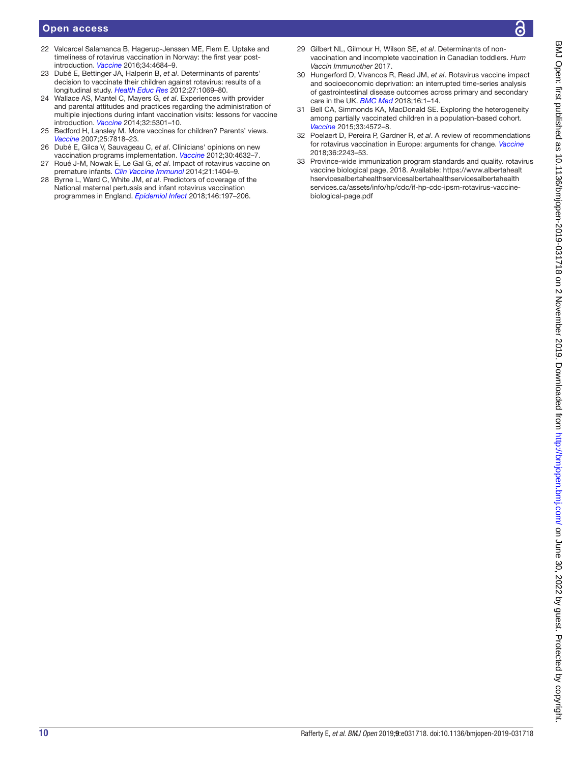- 22 Valcarcel Salamanca B, Hagerup-Jenssen ME, Flem E. Uptake and timeliness of rotavirus vaccination in Norway: the first year postintroduction. *[Vaccine](http://dx.doi.org/10.1016/j.vaccine.2016.08.017)* 2016;34:4684–9.
- <span id="page-9-1"></span>23 Dubé E, Bettinger JA, Halperin B, *et al*. Determinants of parents' decision to vaccinate their children against rotavirus: results of a longitudinal study. *[Health Educ Res](http://dx.doi.org/10.1093/her/cys088)* 2012;27:1069–80.
- <span id="page-9-2"></span>24 Wallace AS, Mantel C, Mayers G, *et al*. Experiences with provider and parental attitudes and practices regarding the administration of multiple injections during infant vaccination visits: lessons for vaccine introduction. *[Vaccine](http://dx.doi.org/10.1016/j.vaccine.2014.07.076)* 2014;32:5301–10.
- 25 Bedford H, Lansley M. More vaccines for children? Parents' views. *[Vaccine](http://dx.doi.org/10.1016/j.vaccine.2007.08.057)* 2007;25:7818–23.
- <span id="page-9-3"></span>26 Dubé E, Gilca V, Sauvageau C, *et al*. Clinicians' opinions on new vaccination programs implementation. *[Vaccine](http://dx.doi.org/10.1016/j.vaccine.2012.04.100)* 2012;30:4632–7.
- <span id="page-9-4"></span>27 Roué J-M, Nowak E, Le Gal G, *et al*. Impact of rotavirus vaccine on premature infants. *[Clin Vaccine Immunol](http://dx.doi.org/10.1128/CVI.00265-14)* 2014;21:1404–9.
- <span id="page-9-5"></span>28 Byrne L, Ward C, White JM, *et al*. Predictors of coverage of the National maternal pertussis and infant rotavirus vaccination programmes in England. *[Epidemiol Infect](http://dx.doi.org/10.1017/S0950268817002497)* 2018;146:197–206.
- <span id="page-9-6"></span>29 Gilbert NL, Gilmour H, Wilson SE, *et al*. Determinants of nonvaccination and incomplete vaccination in Canadian toddlers. *Hum Vaccin Immunother* 2017.
- <span id="page-9-7"></span>30 Hungerford D, Vivancos R, Read JM, *et al*. Rotavirus vaccine impact and socioeconomic deprivation: an interrupted time-series analysis of gastrointestinal disease outcomes across primary and secondary care in the UK. *[BMC Med](http://dx.doi.org/10.1186/s12916-017-0989-z)* 2018;16:1–14.
- <span id="page-9-8"></span>31 Bell CA, Simmonds KA, MacDonald SE. Exploring the heterogeneity among partially vaccinated children in a population-based cohort. *[Vaccine](http://dx.doi.org/10.1016/j.vaccine.2015.07.004)* 2015;33:4572–8.
- 32 Poelaert D, Pereira P, Gardner R, *et al*. A review of recommendations for rotavirus vaccination in Europe: arguments for change. *[Vaccine](http://dx.doi.org/10.1016/j.vaccine.2018.02.080)* 2018;36:2243–53.
- <span id="page-9-0"></span>33 Province-wide immunization program standards and quality. rotavirus vaccine biological page, 2018. Available: [https://www.albertahealt](https://www.albertahealthservicesalbertahealthservicesalbertahealthservicesalbertahealthservices.ca/assets/info/hp/cdc/if-hp-cdc-ipsm-rotavirus-vaccine-biological-page.pdf) [hservicesalbertahealthservicesalbertahealthservicesalbertahealth](https://www.albertahealthservicesalbertahealthservicesalbertahealthservicesalbertahealthservices.ca/assets/info/hp/cdc/if-hp-cdc-ipsm-rotavirus-vaccine-biological-page.pdf) [services.ca/assets/info/hp/cdc/if-hp-cdc-ipsm-rotavirus-vaccine](https://www.albertahealthservicesalbertahealthservicesalbertahealthservicesalbertahealthservices.ca/assets/info/hp/cdc/if-hp-cdc-ipsm-rotavirus-vaccine-biological-page.pdf)[biological-page.pdf](https://www.albertahealthservicesalbertahealthservicesalbertahealthservicesalbertahealthservices.ca/assets/info/hp/cdc/if-hp-cdc-ipsm-rotavirus-vaccine-biological-page.pdf)

Я